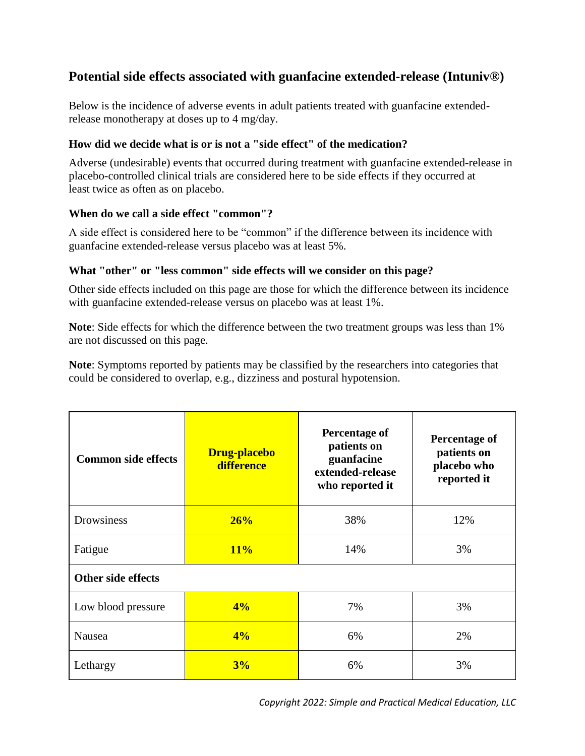## **Potential side effects associated with guanfacine extended-release (Intuniv®)**

Below is the incidence of adverse events in adult patients treated with guanfacine extendedrelease monotherapy at doses up to 4 mg/day.

## **How did we decide what is or is not a "side effect" of the medication?**

Adverse (undesirable) events that occurred during treatment with guanfacine extended-release in placebo-controlled clinical trials are considered here to be side effects if they occurred at least twice as often as on placebo.

## **When do we call a side effect "common"?**

A side effect is considered here to be "common" if the difference between its incidence with guanfacine extended-release versus placebo was at least 5%.

## **What "other" or "less common" side effects will we consider on this page?**

Other side effects included on this page are those for which the difference between its incidence with guanfacine extended-release versus on placebo was at least 1%.

**Note**: Side effects for which the difference between the two treatment groups was less than 1% are not discussed on this page.

**Note**: Symptoms reported by patients may be classified by the researchers into categories that could be considered to overlap, e.g., dizziness and postural hypotension.

| <b>Common side effects</b> | <b>Drug-placebo</b><br>difference | Percentage of<br>patients on<br>guanfacine<br>extended-release<br>who reported it | Percentage of<br>patients on<br>placebo who<br>reported it |  |
|----------------------------|-----------------------------------|-----------------------------------------------------------------------------------|------------------------------------------------------------|--|
| Drowsiness                 | 26%                               | 38%                                                                               | 12%                                                        |  |
| Fatigue                    | 11%                               | 14%                                                                               | 3%                                                         |  |
| <b>Other side effects</b>  |                                   |                                                                                   |                                                            |  |
| Low blood pressure         | 4%                                | 7%                                                                                | 3%                                                         |  |
| Nausea                     | 4%                                | 6%                                                                                | 2%                                                         |  |
| Lethargy                   | 3%                                | 6%                                                                                | 3%                                                         |  |

*Copyright 2022: Simple and Practical Medical Education, LLC*